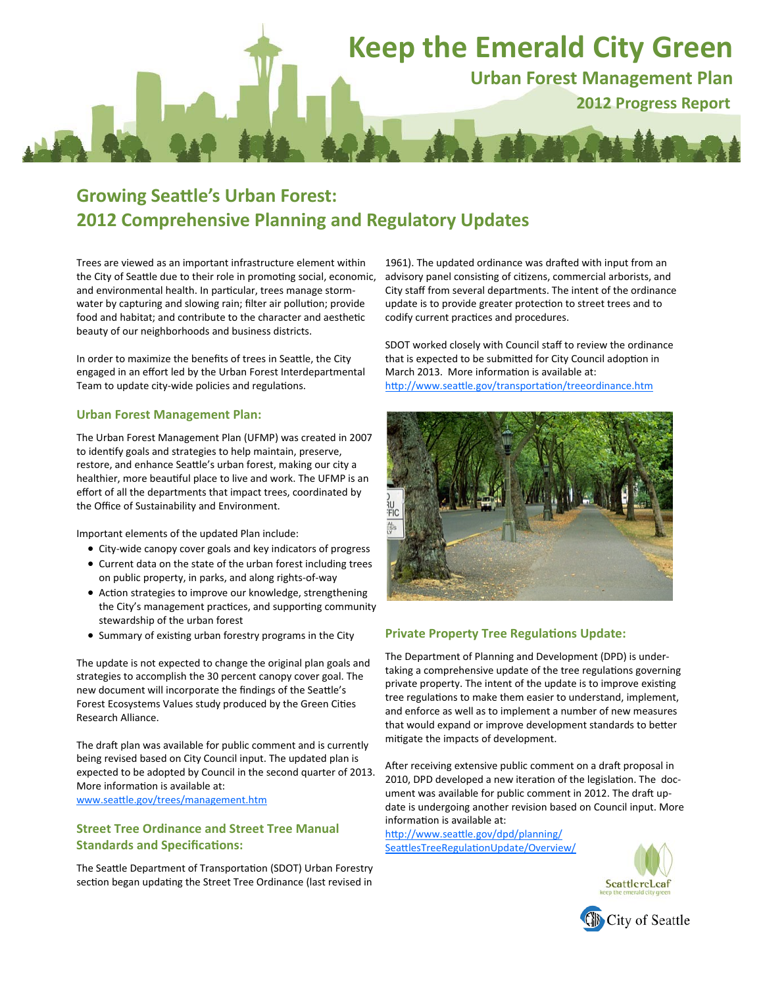# **Keep the Emerald City Green Urban Forest Management Plan 2012 Progress Report**

## **Growing SeaƩle's Urban Forest: 2012 Comprehensive Planning and Regulatory Updates**

Trees are viewed as an important infrastructure element within the City of Seattle due to their role in promoting social, economic, and environmental health. In particular, trees manage stormwater by capturing and slowing rain; filter air pollution; provide food and habitat; and contribute to the character and aesthetic beauty of our neighborhoods and business districts.

In order to maximize the benefits of trees in Seattle, the City engaged in an effort led by the Urban Forest Interdepartmental Team to update city-wide policies and regulations.

#### **Urban Forest Management Plan:**

The Urban Forest Management Plan (UFMP) was created in 2007 to identify goals and strategies to help maintain, preserve, restore, and enhance Seattle's urban forest, making our city a healthier, more beautiful place to live and work. The UFMP is an effort of all the departments that impact trees, coordinated by the Office of Sustainability and Environment.

Important elements of the updated Plan include:

- City‐wide canopy cover goals and key indicators of progress Current data on the state of the urban forest including trees on public property, in parks, and along rights‐of‐way
- Action strategies to improve our knowledge, strengthening the City's management practices, and supporting community stewardship of the urban forest
- Summary of existing urban forestry programs in the City

The update is not expected to change the original plan goals and strategies to accomplish the 30 percent canopy cover goal. The new document will incorporate the findings of the Seattle's Forest Ecosystems Values study produced by the Green Cities Research Alliance.

The draft plan was available for public comment and is currently being revised based on City Council input. The updated plan is expected to be adopted by Council in the second quarter of 2013. More information is available at: www.seattle.gov/trees/management.htm

#### **Street Tree Ordinance and Street Tree Manual Standards and SpecificaƟons:**

The Seattle Department of Transportation (SDOT) Urban Forestry section began updating the Street Tree Ordinance (last revised in

1961). The updated ordinance was drafted with input from an advisory panel consisting of citizens, commercial arborists, and City staff from several departments. The intent of the ordinance update is to provide greater protection to street trees and to codify current practices and procedures.

SDOT worked closely with Council staff to review the ordinance that is expected to be submitted for City Council adoption in March 2013. More information is available at: http://www.seattle.gov/transportation/treeordinance.htm



### **Private Property Tree Regulations Update:**

The Department of Planning and Development (DPD) is under‐ taking a comprehensive update of the tree regulations governing private property. The intent of the update is to improve existing tree regulations to make them easier to understand, implement, and enforce as well as to implement a number of new measures that would expand or improve development standards to better mitigate the impacts of development.

After receiving extensive public comment on a draft proposal in 2010, DPD developed a new iteration of the legislation. The document was available for public comment in 2012. The draft update is undergoing another revision based on Council input. More information is available at:

http://www.seattle.gov/dpd/planning/ SeattlesTreeRegulationUpdate/Overview/



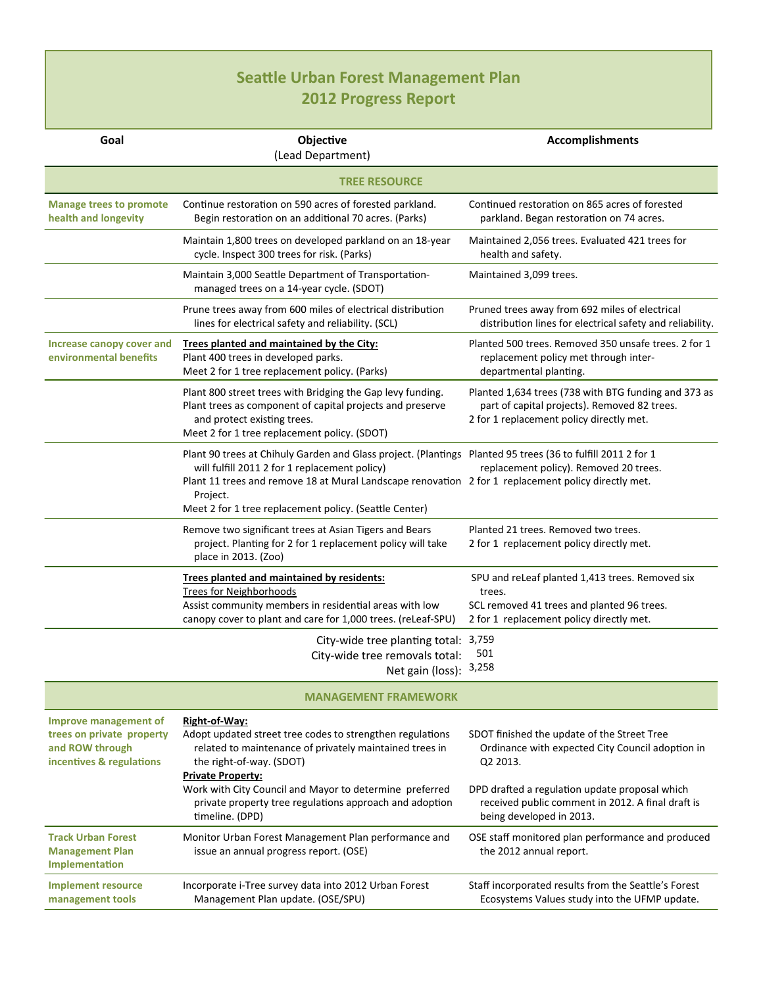## **SeaƩle Urban Forest Management Plan 2012 Progress Report**

| Goal                                                                                                     | Objective<br>(Lead Department)                                                                                                                                                                                                                                                                                                            | Accomplishments                                                                                                                                                                                                                                |  |
|----------------------------------------------------------------------------------------------------------|-------------------------------------------------------------------------------------------------------------------------------------------------------------------------------------------------------------------------------------------------------------------------------------------------------------------------------------------|------------------------------------------------------------------------------------------------------------------------------------------------------------------------------------------------------------------------------------------------|--|
| <b>TREE RESOURCE</b>                                                                                     |                                                                                                                                                                                                                                                                                                                                           |                                                                                                                                                                                                                                                |  |
| <b>Manage trees to promote</b><br>health and longevity                                                   | Continue restoration on 590 acres of forested parkland.<br>Begin restoration on an additional 70 acres. (Parks)                                                                                                                                                                                                                           | Continued restoration on 865 acres of forested<br>parkland. Began restoration on 74 acres.                                                                                                                                                     |  |
|                                                                                                          | Maintain 1,800 trees on developed parkland on an 18-year<br>cycle. Inspect 300 trees for risk. (Parks)                                                                                                                                                                                                                                    | Maintained 2,056 trees. Evaluated 421 trees for<br>health and safety.                                                                                                                                                                          |  |
|                                                                                                          | Maintain 3,000 Seattle Department of Transportation-<br>managed trees on a 14-year cycle. (SDOT)                                                                                                                                                                                                                                          | Maintained 3,099 trees.                                                                                                                                                                                                                        |  |
|                                                                                                          | Prune trees away from 600 miles of electrical distribution<br>lines for electrical safety and reliability. (SCL)                                                                                                                                                                                                                          | Pruned trees away from 692 miles of electrical<br>distribution lines for electrical safety and reliability.                                                                                                                                    |  |
| <b>Increase canopy cover and</b><br>environmental benefits                                               | Trees planted and maintained by the City:<br>Plant 400 trees in developed parks.<br>Meet 2 for 1 tree replacement policy. (Parks)                                                                                                                                                                                                         | Planted 500 trees. Removed 350 unsafe trees. 2 for 1<br>replacement policy met through inter-<br>departmental planting.                                                                                                                        |  |
|                                                                                                          | Plant 800 street trees with Bridging the Gap levy funding.<br>Plant trees as component of capital projects and preserve<br>and protect existing trees.<br>Meet 2 for 1 tree replacement policy. (SDOT)                                                                                                                                    | Planted 1,634 trees (738 with BTG funding and 373 as<br>part of capital projects). Removed 82 trees.<br>2 for 1 replacement policy directly met.                                                                                               |  |
|                                                                                                          | Plant 90 trees at Chihuly Garden and Glass project. (Plantings Planted 95 trees (36 to fulfill 2011 2 for 1<br>will fulfill 2011 2 for 1 replacement policy)<br>Plant 11 trees and remove 18 at Mural Landscape renovation 2 for 1 replacement policy directly met.<br>Project.<br>Meet 2 for 1 tree replacement policy. (Seattle Center) | replacement policy). Removed 20 trees.                                                                                                                                                                                                         |  |
|                                                                                                          | Remove two significant trees at Asian Tigers and Bears<br>project. Planting for 2 for 1 replacement policy will take<br>place in 2013. (Zoo)                                                                                                                                                                                              | Planted 21 trees. Removed two trees.<br>2 for 1 replacement policy directly met.                                                                                                                                                               |  |
|                                                                                                          | Trees planted and maintained by residents:<br><b>Trees for Neighborhoods</b><br>Assist community members in residential areas with low<br>canopy cover to plant and care for 1,000 trees. (reLeaf-SPU)                                                                                                                                    | SPU and reLeaf planted 1,413 trees. Removed six<br>trees.<br>SCL removed 41 trees and planted 96 trees.<br>2 for 1 replacement policy directly met.                                                                                            |  |
|                                                                                                          | City-wide tree planting total: 3,759<br>City-wide tree removals total:<br>Net gain (loss):                                                                                                                                                                                                                                                | 501<br>3,258                                                                                                                                                                                                                                   |  |
|                                                                                                          | <b>MANAGEMENT FRAMEWORK</b>                                                                                                                                                                                                                                                                                                               |                                                                                                                                                                                                                                                |  |
| <b>Improve management of</b><br>trees on private property<br>and ROW through<br>incentives & regulations | Right-of-Way:<br>Adopt updated street tree codes to strengthen regulations<br>related to maintenance of privately maintained trees in<br>the right-of-way. (SDOT)<br><b>Private Property:</b><br>Work with City Council and Mayor to determine preferred<br>private property tree regulations approach and adoption<br>timeline. (DPD)    | SDOT finished the update of the Street Tree<br>Ordinance with expected City Council adoption in<br>Q2 2013.<br>DPD drafted a regulation update proposal which<br>received public comment in 2012. A final draft is<br>being developed in 2013. |  |
| <b>Track Urban Forest</b><br><b>Management Plan</b><br>Implementation                                    | Monitor Urban Forest Management Plan performance and<br>issue an annual progress report. (OSE)                                                                                                                                                                                                                                            | OSE staff monitored plan performance and produced<br>the 2012 annual report.                                                                                                                                                                   |  |
| <b>Implement resource</b><br>management tools                                                            | Incorporate i-Tree survey data into 2012 Urban Forest<br>Management Plan update. (OSE/SPU)                                                                                                                                                                                                                                                | Staff incorporated results from the Seattle's Forest<br>Ecosystems Values study into the UFMP update.                                                                                                                                          |  |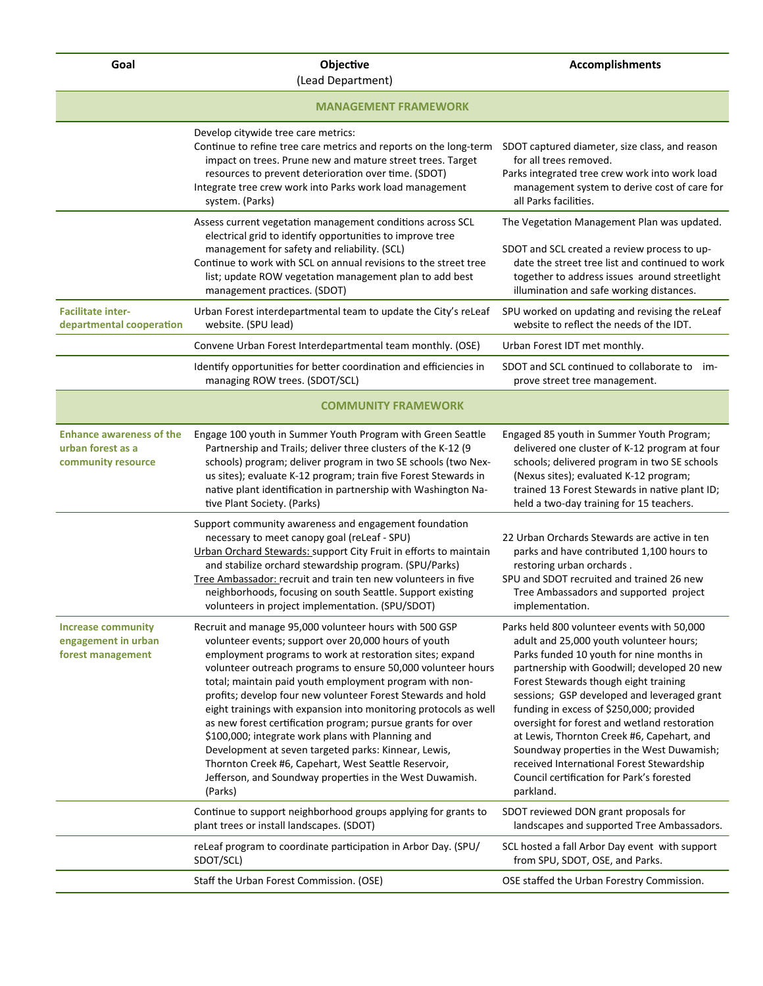**Goal Objective** 

(Lead Department)

| <b>MANAGEMENT FRAMEWORK</b>                                                |                                                                                                                                                                                                                                                                                                                                                                                                                                                                                                                                                                                                                                                                                                                                                      |                                                                                                                                                                                                                                                                                                                                                                                                                                                                                                                                                                         |
|----------------------------------------------------------------------------|------------------------------------------------------------------------------------------------------------------------------------------------------------------------------------------------------------------------------------------------------------------------------------------------------------------------------------------------------------------------------------------------------------------------------------------------------------------------------------------------------------------------------------------------------------------------------------------------------------------------------------------------------------------------------------------------------------------------------------------------------|-------------------------------------------------------------------------------------------------------------------------------------------------------------------------------------------------------------------------------------------------------------------------------------------------------------------------------------------------------------------------------------------------------------------------------------------------------------------------------------------------------------------------------------------------------------------------|
|                                                                            | Develop citywide tree care metrics:<br>Continue to refine tree care metrics and reports on the long-term<br>impact on trees. Prune new and mature street trees. Target<br>resources to prevent deterioration over time. (SDOT)<br>Integrate tree crew work into Parks work load management<br>system. (Parks)                                                                                                                                                                                                                                                                                                                                                                                                                                        | SDOT captured diameter, size class, and reason<br>for all trees removed.<br>Parks integrated tree crew work into work load<br>management system to derive cost of care for<br>all Parks facilities.                                                                                                                                                                                                                                                                                                                                                                     |
|                                                                            | Assess current vegetation management conditions across SCL<br>electrical grid to identify opportunities to improve tree<br>management for safety and reliability. (SCL)<br>Continue to work with SCL on annual revisions to the street tree<br>list; update ROW vegetation management plan to add best<br>management practices. (SDOT)                                                                                                                                                                                                                                                                                                                                                                                                               | The Vegetation Management Plan was updated.<br>SDOT and SCL created a review process to up-<br>date the street tree list and continued to work<br>together to address issues around streetlight<br>illumination and safe working distances.                                                                                                                                                                                                                                                                                                                             |
| <b>Facilitate inter-</b><br>departmental cooperation                       | Urban Forest interdepartmental team to update the City's releaf<br>website. (SPU lead)                                                                                                                                                                                                                                                                                                                                                                                                                                                                                                                                                                                                                                                               | SPU worked on updating and revising the reLeaf<br>website to reflect the needs of the IDT.                                                                                                                                                                                                                                                                                                                                                                                                                                                                              |
|                                                                            | Convene Urban Forest Interdepartmental team monthly. (OSE)                                                                                                                                                                                                                                                                                                                                                                                                                                                                                                                                                                                                                                                                                           | Urban Forest IDT met monthly.                                                                                                                                                                                                                                                                                                                                                                                                                                                                                                                                           |
|                                                                            | Identify opportunities for better coordination and efficiencies in<br>managing ROW trees. (SDOT/SCL)                                                                                                                                                                                                                                                                                                                                                                                                                                                                                                                                                                                                                                                 | SDOT and SCL continued to collaborate to im-<br>prove street tree management.                                                                                                                                                                                                                                                                                                                                                                                                                                                                                           |
|                                                                            | <b>COMMUNITY FRAMEWORK</b>                                                                                                                                                                                                                                                                                                                                                                                                                                                                                                                                                                                                                                                                                                                           |                                                                                                                                                                                                                                                                                                                                                                                                                                                                                                                                                                         |
| <b>Enhance awareness of the</b><br>urban forest as a<br>community resource | Engage 100 youth in Summer Youth Program with Green Seattle<br>Partnership and Trails; deliver three clusters of the K-12 (9<br>schools) program; deliver program in two SE schools (two Nex-<br>us sites); evaluate K-12 program; train five Forest Stewards in<br>native plant identification in partnership with Washington Na-<br>tive Plant Society. (Parks)                                                                                                                                                                                                                                                                                                                                                                                    | Engaged 85 youth in Summer Youth Program;<br>delivered one cluster of K-12 program at four<br>schools; delivered program in two SE schools<br>(Nexus sites); evaluated K-12 program;<br>trained 13 Forest Stewards in native plant ID;<br>held a two-day training for 15 teachers.                                                                                                                                                                                                                                                                                      |
|                                                                            | Support community awareness and engagement foundation<br>necessary to meet canopy goal (reLeaf - SPU)<br>Urban Orchard Stewards: support City Fruit in efforts to maintain<br>and stabilize orchard stewardship program. (SPU/Parks)<br>Tree Ambassador: recruit and train ten new volunteers in five<br>neighborhoods, focusing on south Seattle. Support existing<br>volunteers in project implementation. (SPU/SDOT)                                                                                                                                                                                                                                                                                                                              | 22 Urban Orchards Stewards are active in ten<br>parks and have contributed 1,100 hours to<br>restoring urban orchards.<br>SPU and SDOT recruited and trained 26 new<br>Tree Ambassadors and supported project<br>implementation.                                                                                                                                                                                                                                                                                                                                        |
| <b>Increase community</b><br>engagement in urban<br>forest management      | Recruit and manage 95,000 volunteer hours with 500 GSP<br>volunteer events; support over 20,000 hours of youth<br>employment programs to work at restoration sites; expand<br>volunteer outreach programs to ensure 50,000 volunteer hours<br>total; maintain paid youth employment program with non-<br>profits; develop four new volunteer Forest Stewards and hold<br>eight trainings with expansion into monitoring protocols as well<br>as new forest certification program; pursue grants for over<br>\$100,000; integrate work plans with Planning and<br>Development at seven targeted parks: Kinnear, Lewis,<br>Thornton Creek #6, Capehart, West Seattle Reservoir,<br>Jefferson, and Soundway properties in the West Duwamish.<br>(Parks) | Parks held 800 volunteer events with 50,000<br>adult and 25,000 youth volunteer hours;<br>Parks funded 10 youth for nine months in<br>partnership with Goodwill; developed 20 new<br>Forest Stewards though eight training<br>sessions; GSP developed and leveraged grant<br>funding in excess of \$250,000; provided<br>oversight for forest and wetland restoration<br>at Lewis, Thornton Creek #6, Capehart, and<br>Soundway properties in the West Duwamish;<br>received International Forest Stewardship<br>Council certification for Park's forested<br>parkland. |
|                                                                            | Continue to support neighborhood groups applying for grants to<br>plant trees or install landscapes. (SDOT)                                                                                                                                                                                                                                                                                                                                                                                                                                                                                                                                                                                                                                          | SDOT reviewed DON grant proposals for<br>landscapes and supported Tree Ambassadors.                                                                                                                                                                                                                                                                                                                                                                                                                                                                                     |
|                                                                            | reLeaf program to coordinate participation in Arbor Day. (SPU/<br>SDOT/SCL)                                                                                                                                                                                                                                                                                                                                                                                                                                                                                                                                                                                                                                                                          | SCL hosted a fall Arbor Day event with support<br>from SPU, SDOT, OSE, and Parks.                                                                                                                                                                                                                                                                                                                                                                                                                                                                                       |
|                                                                            | Staff the Urban Forest Commission. (OSE)                                                                                                                                                                                                                                                                                                                                                                                                                                                                                                                                                                                                                                                                                                             | OSE staffed the Urban Forestry Commission.                                                                                                                                                                                                                                                                                                                                                                                                                                                                                                                              |